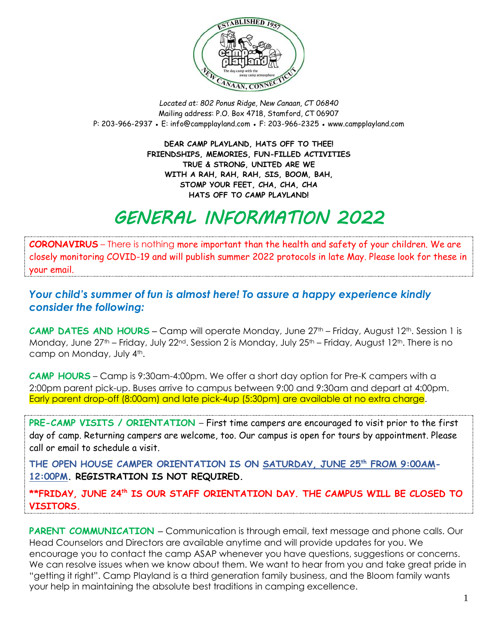

*Located at: 802 Ponus Ridge, New Canaan, CT 06840* Mailing address: P.O. Box 4718, Stamford, CT 06907 P: 203-966-2937 ● E: [info@campplayland.com](mailto:info@campplayland.com) ● F: 203-966-2325 ● www.campplayland.com

> **DEAR CAMP PLAYLAND, HATS OFF TO THEE! FRIENDSHIPS, MEMORIES, FUN-FILLED ACTIVITIES TRUE & STRONG, UNITED ARE WE WITH A RAH, RAH, RAH, SIS, BOOM, BAH, STOMP YOUR FEET, CHA, CHA, CHA HATS OFF TO CAMP PLAYLAND!**

### *GENERAL INFORMATION 2022*

**CORONAVIRUS** – There is nothing more important than the health and safety of your children. We are closely monitoring COVID-19 and will publish summer 2022 protocols in late May. Please look for these in your email.

#### *Your child's summer of fun is almost here! To assure a happy experience kindly consider the following:*

**CAMP DATES AND HOURS** – Camp will operate Monday, June 27<sup>th</sup> – Friday, August 12<sup>th</sup>. Session 1 is Monday, June  $27<sup>th</sup>$  – Friday, July  $22<sup>nd</sup>$ . Session 2 is Monday, July  $25<sup>th</sup>$  – Friday, August 12<sup>th</sup>. There is no camp on Monday, July 4th.

**CAMP HOURS** – Camp is 9:30am-4:00pm. We offer a short day option for Pre-K campers with a 2:00pm parent pick-up. Buses arrive to campus between 9:00 and 9:30am and depart at 4:00pm. Early parent drop-off (8:00am) and late pick-4up (5:30pm) are available at no extra charge.

**PRE-CAMP VISITS / ORIENTATION** – First time campers are encouraged to visit prior to the first day of camp. Returning campers are welcome, too. Our campus is open for tours by appointment. Please call or email to schedule a visit.

**THE OPEN HOUSE CAMPER ORIENTATION IS ON SATURDAY, JUNE 25 th FROM 9:00AM-12:00PM. REGISTRATION IS NOT REQUIRED.** 

**\*\*FRIDAY, JUNE 24th IS OUR STAFF ORIENTATION DAY. THE CAMPUS WILL BE CLOSED TO VISITORS.**

**PARENT COMMUNICATION** – Communication is through email, text message and phone calls. Our Head Counselors and Directors are available anytime and will provide updates for you. We encourage you to contact the camp ASAP whenever you have questions, suggestions or concerns. We can resolve issues when we know about them. We want to hear from you and take great pride in "getting it right". Camp Playland is a third generation family business, and the Bloom family wants your help in maintaining the absolute best traditions in camping excellence.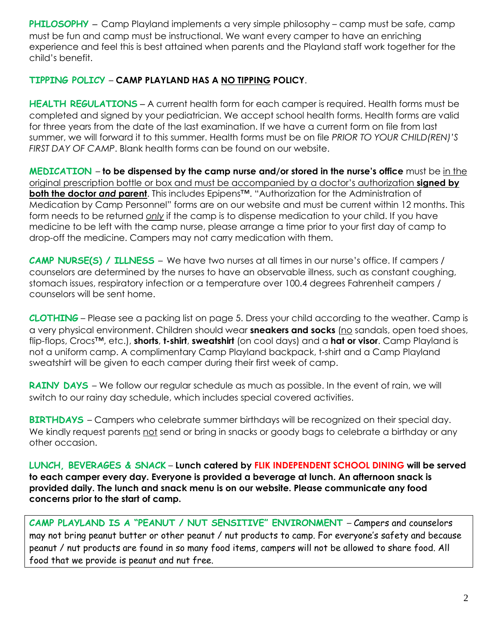**PHILOSOPHY** – Camp Playland implements a very simple philosophy – camp must be safe, camp must be fun and camp must be instructional. We want every camper to have an enriching experience and feel this is best attained when parents and the Playland staff work together for the child's benefit.

#### **TIPPING POLICY** – **CAMP PLAYLAND HAS A NO TIPPING POLICY**.

**HEALTH REGULATIONS** – A current health form for each camper is required. Health forms must be completed and signed by your pediatrician. We accept school health forms. Health forms are valid for three years from the date of the last examination. If we have a current form on file from last summer, we will forward it to this summer. Health forms must be on file *PRIOR TO YOUR CHILD(REN)'S FIRST DAY OF CAMP*. Blank health forms can be found on our website.

**MEDICATION** – **to be dispensed by the camp nurse and/or stored in the nurse's office** must be in the original prescription bottle or box and must be accompanied by a doctor's authorization **signed by both the doctor** *and* **parent**. This includes Epipens™. "Authorization for the Administration of Medication by Camp Personnel" forms are on our website and must be current within 12 months. This form needs to be returned *only* if the camp is to dispense medication to your child. If you have medicine to be left with the camp nurse, please arrange a time prior to your first day of camp to drop-off the medicine. Campers may not carry medication with them.

**CAMP NURSE(S) / ILLNESS** – We have two nurses at all times in our nurse's office. If campers / counselors are determined by the nurses to have an observable illness, such as constant coughing, stomach issues, respiratory infection or a temperature over 100.4 degrees Fahrenheit campers / counselors will be sent home.

**CLOTHING** – Please see a packing list on page 5. Dress your child according to the weather. Camp is a very physical environment. Children should wear **sneakers and socks** (no sandals, open toed shoes, flip-flops, Crocs™, etc.), **shorts**, **t-shirt**, **sweatshirt** (on cool days) and a **hat or visor**. Camp Playland is not a uniform camp. A complimentary Camp Playland backpack, t-shirt and a Camp Playland sweatshirt will be given to each camper during their first week of camp.

**RAINY DAYS** – We follow our regular schedule as much as possible. In the event of rain, we will switch to our rainy day schedule, which includes special covered activities.

**BIRTHDAYS** – Campers who celebrate summer birthdays will be recognized on their special day. We kindly request parents not send or bring in snacks or goody bags to celebrate a birthday or any other occasion.

**LUNCH, BEVERAGES & SNACK** – **Lunch catered by FLIK INDEPENDENT SCHOOL DINING will be served to each camper every day. Everyone is provided a beverage at lunch. An afternoon snack is provided daily. The lunch and snack menu is on our website. Please communicate any food concerns prior to the start of camp.**

**CAMP PLAYLAND IS A "PEANUT / NUT SENSITIVE" ENVIRONMENT** – Campers and counselors may not bring peanut butter or other peanut / nut products to camp. For everyone's safety and because peanut / nut products are found in so many food items, campers will not be allowed to share food. All food that we provide is peanut and nut free.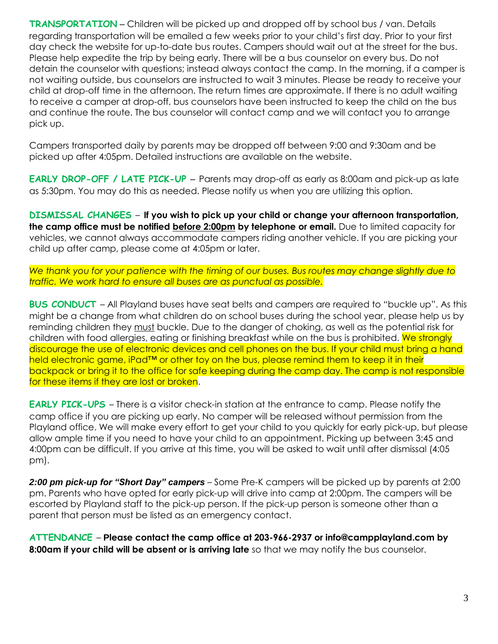**TRANSPORTATION** – Children will be picked up and dropped off by school bus / van. Details regarding transportation will be emailed a few weeks prior to your child's first day. Prior to your first day check the website for up-to-date bus routes. Campers should wait out at the street for the bus. Please help expedite the trip by being early. There will be a bus counselor on every bus. Do not detain the counselor with questions; instead always contact the camp. In the morning, if a camper is not waiting outside, bus counselors are instructed to wait 3 minutes. Please be ready to receive your child at drop-off time in the afternoon. The return times are approximate. If there is no adult waiting to receive a camper at drop-off, bus counselors have been instructed to keep the child on the bus and continue the route. The bus counselor will contact camp and we will contact you to arrange pick up.

Campers transported daily by parents may be dropped off between 9:00 and 9:30am and be picked up after 4:05pm. Detailed instructions are available on the website.

**EARLY DROP-OFF / LATE PICK-UP** – Parents may drop-off as early as 8:00am and pick-up as late as 5:30pm. You may do this as needed. Please notify us when you are utilizing this option.

**DISMISSAL CHANGES** – **If you wish to pick up your child or change your afternoon transportation, the camp office must be notified before 2:00pm by telephone or email.** Due to limited capacity for vehicles, we cannot always accommodate campers riding another vehicle. If you are picking your child up after camp, please come at 4:05pm or later.

*We thank you for your patience with the timing of our buses. Bus routes may change slightly due to traffic. We work hard to ensure all buses are as punctual as possible.* 

**BUS CONDUCT** – All Playland buses have seat belts and campers are required to "buckle up". As this might be a change from what children do on school buses during the school year, please help us by reminding children they must buckle. Due to the danger of choking, as well as the potential risk for children with food allergies, eating or finishing breakfast while on the bus is prohibited. We strongly discourage the use of electronic devices and cell phones on the bus. If your child must bring a hand held electronic game, iPad<sup>™</sup> or other toy on the bus, please remind them to keep it in their backpack or bring it to the office for safe keeping during the camp day. The camp is not responsible for these items if they are lost or broken.

**EARLY PICK-UPS** – There is a visitor check-in station at the entrance to camp. Please notify the camp office if you are picking up early. No camper will be released without permission from the Playland office. We will make every effort to get your child to you quickly for early pick-up, but please allow ample time if you need to have your child to an appointment. Picking up between 3:45 and 4:00pm can be difficult. If you arrive at this time, you will be asked to wait until after dismissal (4:05 pm).

*2:00 pm pick-up for "Short Day" campers* – Some Pre-K campers will be picked up by parents at 2:00 pm. Parents who have opted for early pick-up will drive into camp at 2:00pm. The campers will be escorted by Playland staff to the pick-up person. If the pick-up person is someone other than a parent that person must be listed as an emergency contact.

**ATTENDANCE** – **Please contact the camp office at 203-966-2937 or [info@campplayland.com](mailto:info@campplayland.com) by 8:00am if your child will be absent or is arriving late** so that we may notify the bus counselor.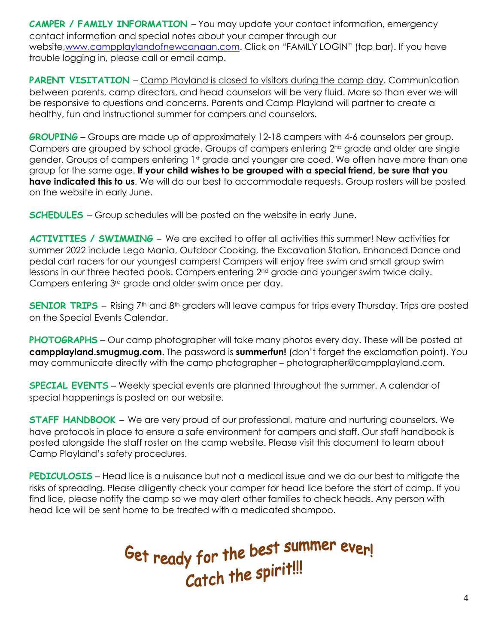**CAMPER / FAMILY INFORMATION** – You may update your contact information, emergency contact information and special notes about your camper through our website[,www.campplaylandofnewcanaan.com.](http://www.campplaylandofnewcanaan.com/) Click on "FAMILY LOGIN" (top bar). If you have trouble logging in, please call or email camp.

**PARENT VISITATION** – Camp Playland is closed to visitors during the camp day. Communication between parents, camp directors, and head counselors will be very fluid. More so than ever we will be responsive to questions and concerns. Parents and Camp Playland will partner to create a healthy, fun and instructional summer for campers and counselors.

**GROUPING** – Groups are made up of approximately 12-18 campers with 4-6 counselors per group. Campers are grouped by school grade. Groups of campers entering 2<sup>nd</sup> grade and older are single gender. Groups of campers entering 1st grade and younger are coed. We often have more than one group for the same age. **If your child wishes to be grouped with a special friend, be sure that you have indicated this to us**. We will do our best to accommodate requests. Group rosters will be posted on the website in early June.

**SCHEDULES** – Group schedules will be posted on the website in early June.

**ACTIVITIES / SWIMMING** – We are excited to offer all activities this summer! New activities for summer 2022 include Lego Mania, Outdoor Cooking, the Excavation Station, Enhanced Dance and pedal cart racers for our youngest campers! Campers will enjoy free swim and small group swim lessons in our three heated pools. Campers entering 2<sup>nd</sup> grade and younger swim twice daily. Campers entering 3rd grade and older swim once per day.

**SENIOR TRIPS** – Rising 7<sup>th</sup> and 8<sup>th</sup> graders will leave campus for trips every Thursday. Trips are posted on the Special Events Calendar.

**PHOTOGRAPHS** – Our camp photographer will take many photos every day. These will be posted at **campplayland.smugmug.com**. The password is **summerfun!** (don't forget the exclamation point). You may communicate directly with the camp photographer – [photographer@campplayland.com.](mailto:photographer@campplayland.com)

**SPECIAL EVENTS** – Weekly special events are planned throughout the summer. A calendar of special happenings is posted on our website.

**STAFF HANDBOOK** – We are very proud of our professional, mature and nurturing counselors. We have protocols in place to ensure a safe environment for campers and staff. Our staff handbook is posted alongside the staff roster on the camp website. Please visit this document to learn about Camp Playland's safety procedures.

**PEDICULOSIS** – Head lice is a nuisance but not a medical issue and we do our best to mitigate the risks of spreading. Please diligently check your camper for head lice before the start of camp. If you find lice, please notify the camp so we may alert other families to check heads. Any person with head lice will be sent home to be treated with a medicated shampoo.

Get ready for the best summer ever!<br>Catch the spirit!!!